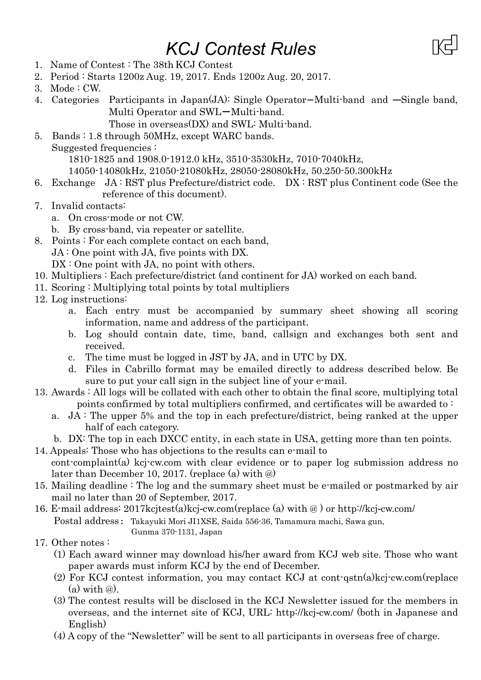## *KCJ Contest Rules*



- 2. Period : Starts 1200z Aug. 19, 2017. Ends 1200z Aug. 20, 2017.
- 3. Mode : CW.
- 4. Categories Participants in Japan(JA): Single Operator-Multi-band and ―Single band, Multi Operator and SWL-Multi-band.

Those in overseas(DX) and SWL: Multi-band.

5. Bands : 1.8 through 50MHz, except WARC bands.

Suggested frequencies :

1810-1825 and 1908.0-1912.0 kHz, 3510-3530kHz, 7010-7040kHz,

14050-14080kHz, 21050-21080kHz, 28050-28080kHz, 50.250-50.300kHz

- 6. Exchange JA : RST plus Prefecture/district code. DX : RST plus Continent code (See the reference of this document).
- 7. Invalid contacts:
	- a. On cross-mode or not CW.
	- b. By cross-band, via repeater or satellite.
- 8. Points : For each complete contact on each band,

JA : One point with JA, five points with DX.

DX : One point with JA, no point with others.

- 10. Multipliers : Each prefecture/district (and continent for JA) worked on each band.
- 11. Scoring : Multiplying total points by total multipliers
- 12. Log instructions:
	- a. Each entry must be accompanied by summary sheet showing all scoring information, name and address of the participant.
	- b. Log should contain date, time, band, callsign and exchanges both sent and received.
	- c. The time must be logged in JST by JA, and in UTC by DX.
	- d. Files in Cabrillo format may be emailed directly to address described below. Be sure to put your call sign in the subject line of your e-mail.
- 13. Awards : All logs will be collated with each other to obtain the final score, multiplying total points confirmed by total multipliers confirmed, and certificates will be awarded to :
	- a. JA : The upper 5% and the top in each prefecture/district, being ranked at the upper half of each category.
	- b. DX: The top in each DXCC entity, in each state in USA, getting more than ten points.
- 14. Appeals: Those who has objections to the results can e-mail to cont-complaint(a) kcj-cw.com with clear evidence or to paper log submission address no
- later than December 10, 2017. (replace (a) with @) 15. Mailing deadline : The log and the summary sheet must be e-mailed or postmarked by air
- mail no later than 20 of September, 2017.

16. E-mail address: 2017kcjtest(a)kcj-cw.com(replace (a) with @ ) or http://kcj-cw.com/ Postal address: Takayuki Mori JI1XSE, Saida 556-36, Tamamura machi, Sawa gun, Gunma 370-1131, Japan

- 17. Other notes :
	- (1) Each award winner may download his/her award from KCJ web site. Those who want paper awards must inform KCJ by the end of December.
	- (2) For KCJ contest information, you may contact KCJ at cont-qstn(a)kcj-cw.com(replace  $(a)$  with  $(a)$ .
	- (3) The contest results will be disclosed in the KCJ Newsletter issued for the members in overseas, and the internet site of KCJ, URL: http://kcj-cw.com/ (both in Japanese and English)
	- (4) A copy of the "Newsletter" will be sent to all participants in overseas free of charge.